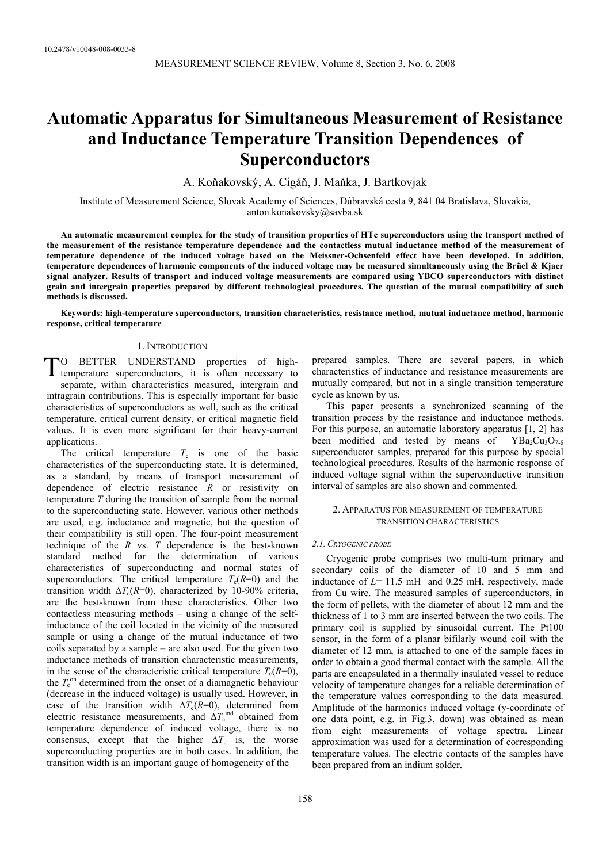# **Automatic Apparatus for Simultaneous Measurement of Resistance and Inductance Temperature Transition Dependences of Superconductors**

A. Koňakovský, A. Cigáň, J. Maňka, J. Bartkovjak

Institute of Measurement Science, Slovak Academy of Sciences, Dúbravská cesta 9, 841 04 Bratislava, Slovakia, anton.konakovsky@savba.sk

**An automatic measurement complex for the study of transition properties of HTc superconductors using the transport method of the measurement of the resistance temperature dependence and the contactless mutual inductance method of the measurement of temperature dependence of the induced voltage based on the Meissner-Ochsenfeld effect have been developed. In addition, temperature dependences of harmonic components of the induced voltage may be measured simultaneously using the Brüel & Kjaer signal analyzer. Results of transport and induced voltage measurements are compared using YBCO superconductors with distinct grain and intergrain properties prepared by different technological procedures. The question of the mutual compatibility of such methods is discussed.** 

**Keywords: high-temperature superconductors, transition characteristics, resistance method, mutual inductance method, harmonic response, critical temperature** 

## 1. INTRODUCTION

O BETTER UNDERSTAND properties of high-TO BETTER UNDERSTAND properties of high-<br>temperature superconductors, it is often necessary to separate, within characteristics measured, intergrain and intragrain contributions. This is especially important for basic characteristics of superconductors as well, such as the critical temperature, critical current density, or critical magnetic field values. It is even more significant for their heavy-current applications.

The critical temperature  $T_c$  is one of the basic characteristics of the superconducting state. It is determined, as a standard, by means of transport measurement of dependence of electric resistance *R* or resistivity on temperature *T* during the transition of sample from the normal to the superconducting state. However, various other methods are used, e.g. inductance and magnetic, but the question of their compatibility is still open. The four-point measurement technique of the *R* vs. *T* dependence is the best-known standard method for the determination of various characteristics of superconducting and normal states of superconductors. The critical temperature  $T_c(R=0)$  and the transition width  $\Delta T_c(R=0)$ , characterized by 10-90% criteria, are the best-known from these characteristics. Other two contactless measuring methods – using a change of the selfinductance of the coil located in the vicinity of the measured sample or using a change of the mutual inductance of two coils separated by a sample – are also used. For the given two inductance methods of transition characteristic measurements, in the sense of the characteristic critical temperature  $T_c(R=0)$ , the  $T_c^{\text{on}}$  determined from the onset of a diamagnetic behaviour (decrease in the induced voltage) is usually used. However, in case of the transition width  $\Delta T_c(R=0)$ , determined from electric resistance measurements, and  $\Delta T_c^{\text{ind}}$  obtained from temperature dependence of induced voltage, there is no consensus, except that the higher  $\Delta T_c$  is, the worse superconducting properties are in both cases. In addition, the transition width is an important gauge of homogeneity of the

prepared samples. There are several papers, in which characteristics of inductance and resistance measurements are mutually compared, but not in a single transition temperature cycle as known by us.

This paper presents a synchronized scanning of the transition process by the resistance and inductance methods. For this purpose, an automatic laboratory apparatus [1, 2] has been modified and tested by means of  $YBa_2Cu_3O_{7-\delta}$ superconductor samples, prepared for this purpose by special technological procedures. Results of the harmonic response of induced voltage signal within the superconductive transition interval of samples are also shown and commented.

## 2. APPARATUS FOR MEASUREMENT OF TEMPERATURE TRANSITION CHARACTERISTICS

## *2.1. CRYOGENIC PROBE*

Cryogenic probe comprises two multi-turn primary and secondary coils of the diameter of 10 and 5 mm and inductance of  $L = 11.5$  mH and 0.25 mH, respectively, made from Cu wire. The measured samples of superconductors, in the form of pellets, with the diameter of about 12 mm and the thickness of 1 to 3 mm are inserted between the two coils. The primary coil is supplied by sinusoidal current. The Pt100 sensor, in the form of a planar bifilarly wound coil with the diameter of 12 mm, is attached to one of the sample faces in order to obtain a good thermal contact with the sample. All the parts are encapsulated in a thermally insulated vessel to reduce velocity of temperature changes for a reliable determination of the temperature values corresponding to the data measured. Amplitude of the harmonics induced voltage (y-coordinate of one data point, e.g. in Fig.3, down) was obtained as mean from eight measurements of voltage spectra. Linear approximation was used for a determination of corresponding temperature values. The electric contacts of the samples have been prepared from an indium solder.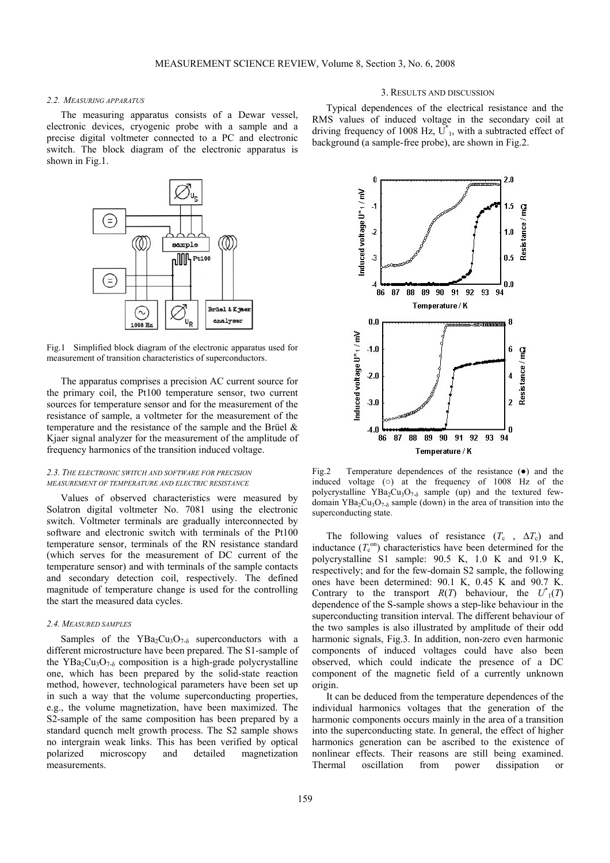## *2.2. MEASURING APPARATUS*

The measuring apparatus consists of a Dewar vessel, electronic devices, cryogenic probe with a sample and a precise digital voltmeter connected to a PC and electronic switch. The block diagram of the electronic apparatus is shown in Fig.1.



Fig.1 Simplified block diagram of the electronic apparatus used for measurement of transition characteristics of superconductors.

The apparatus comprises a precision AC current source for the primary coil, the Pt100 temperature sensor, two current sources for temperature sensor and for the measurement of the resistance of sample, a voltmeter for the measurement of the temperature and the resistance of the sample and the Brüel & Kjaer signal analyzer for the measurement of the amplitude of frequency harmonics of the transition induced voltage.

## *2.3. THE ELECTRONIC SWITCH AND SOFTWARE FOR PRECISION MEASUREMENT OF TEMPERATURE AND ELECTRIC RESISTANCE*

Values of observed characteristics were measured by Solatron digital voltmeter No. 7081 using the electronic switch. Voltmeter terminals are gradually interconnected by software and electronic switch with terminals of the Pt100 temperature sensor, terminals of the RN resistance standard (which serves for the measurement of DC current of the temperature sensor) and with terminals of the sample contacts and secondary detection coil, respectively. The defined magnitude of temperature change is used for the controlling the start the measured data cycles.

## *2.4. MEASURED SAMPLES*

Samples of the  $YBa<sub>2</sub>Cu<sub>3</sub>O<sub>7-δ</sub>$  superconductors with a different microstructure have been prepared. The S1-sample of the YBa<sub>2</sub>Cu<sub>3</sub>O<sub>7-δ</sub> composition is a high-grade polycrystalline one, which has been prepared by the solid-state reaction method, however, technological parameters have been set up in such a way that the volume superconducting properties, e.g., the volume magnetization, have been maximized. The S2-sample of the same composition has been prepared by a standard quench melt growth process. The S2 sample shows no intergrain weak links. This has been verified by optical polarized microscopy and detailed magnetization measurements.

## 3. RESULTS AND DISCUSSION

Typical dependences of the electrical resistance and the RMS values of induced voltage in the secondary coil at driving frequency of 1008 Hz,  $\overrightarrow{U}^*$ , with a subtracted effect of background (a sample-free probe), are shown in Fig.2.



Fig.2 Temperature dependences of the resistance (●) and the induced voltage (o) at the frequency of  $1008$  Hz of the polycrystalline  $YBa<sub>2</sub>Cu<sub>3</sub>O<sub>7-δ</sub>$  sample (up) and the textured fewdomain YBa<sub>2</sub>Cu<sub>3</sub>O<sub>7-δ</sub> sample (down) in the area of transition into the superconducting state.

The following values of resistance  $(T_c, \Delta T_c)$  and inductance  $(T_c^{\text{on}})$  characteristics have been determined for the polycrystalline S1 sample: 90.5 K, 1.0 K and 91.9 K, respectively; and for the few-domain S2 sample, the following ones have been determined: 90.1 K, 0.45 K and 90.7 K. Contrary to the transport  $R(T)$  behaviour, the  $U^*(T)$ dependence of the S-sample shows a step-like behaviour in the superconducting transition interval. The different behaviour of the two samples is also illustrated by amplitude of their odd harmonic signals, Fig.3. In addition, non-zero even harmonic components of induced voltages could have also been observed, which could indicate the presence of a DC component of the magnetic field of a currently unknown origin.

It can be deduced from the temperature dependences of the individual harmonics voltages that the generation of the harmonic components occurs mainly in the area of a transition into the superconducting state. In general, the effect of higher harmonics generation can be ascribed to the existence of nonlinear effects. Their reasons are still being examined. Thermal oscillation from power dissipation or